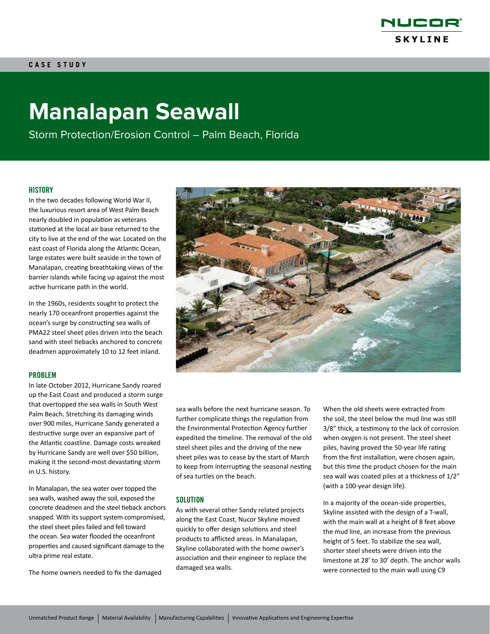

# **Manalapan Seawall**

Storm Protection/Erosion Control – Palm Beach, Florida

### **HISTORY**

In the two decades following World War II, the luxurious resort area of West Palm Beach nearly doubled in population as veterans stationed at the local air base returned to the city to live at the end of the war. Located on the east coast of Florida along the Atlantic Ocean, large estates were built seaside in the town of Manalapan, creating breathtaking views of the barrier islands while facing up against the most active hurricane path in the world.

In the 1960s, residents sought to protect the nearly 170 oceanfront properties against the ocean's surge by constructing sea walls of PMA22 steel sheet piles driven into the beach sand with steel tiebacks anchored to concrete deadmen approximately 10 to 12 feet inland.

#### PROBLEM

In late October 2012, Hurricane Sandy roared up the East Coast and produced a storm surge that overtopped the sea walls in South West Palm Beach. Stretching its damaging winds over 900 miles, Hurricane Sandy generated a destructive surge over an expansive part of the Atlantic coastline. Damage costs wreaked by Hurricane Sandy are well over \$50 billion, making it the second-most devastating storm in U.S. history.

In Manalapan, the sea water over topped the sea walls, washed away the soil, exposed the concrete deadmen and the steel tieback anchors snapped. With its support system compromised, the steel sheet piles failed and fell toward the ocean. Sea water flooded the oceanfront properties and caused significant damage to the ultra prime real estate.

The home owners needed to fix the damaged



sea walls before the next hurricane season. To further complicate things the regulation from the Environmental Protection Agency further expedited the timeline. The removal of the old steel sheet piles and the driving of the new sheet piles was to cease by the start of March to keep from interrupting the seasonal nesting of sea turtles on the beach.

## SOLUTION

As with several other Sandy related projects along the East Coast, Nucor Skyline moved quickly to offer design solutions and steel products to afflicted areas. In Manalapan, Skyline collaborated with the home owner's association and their engineer to replace the damaged sea walls.

When the old sheets were extracted from the soil, the steel below the mud line was still 3/8" thick, a testimony to the lack of corrosion when oxygen is not present. The steel sheet piles, having proved the 50-year life rating from the first installation, were chosen again, but this time the product chosen for the main sea wall was coated piles at a thickness of 1/2" (with a 100‑year design life).

In a majority of the ocean-side properties, Skyline assisted with the design of a T-wall, with the main wall at a height of 8 feet above the mud line, an increase from the previous height of 5 feet. To stabilize the sea wall, shorter steel sheets were driven into the limestone at 28' to 30' depth. The anchor walls were connected to the main wall using C9